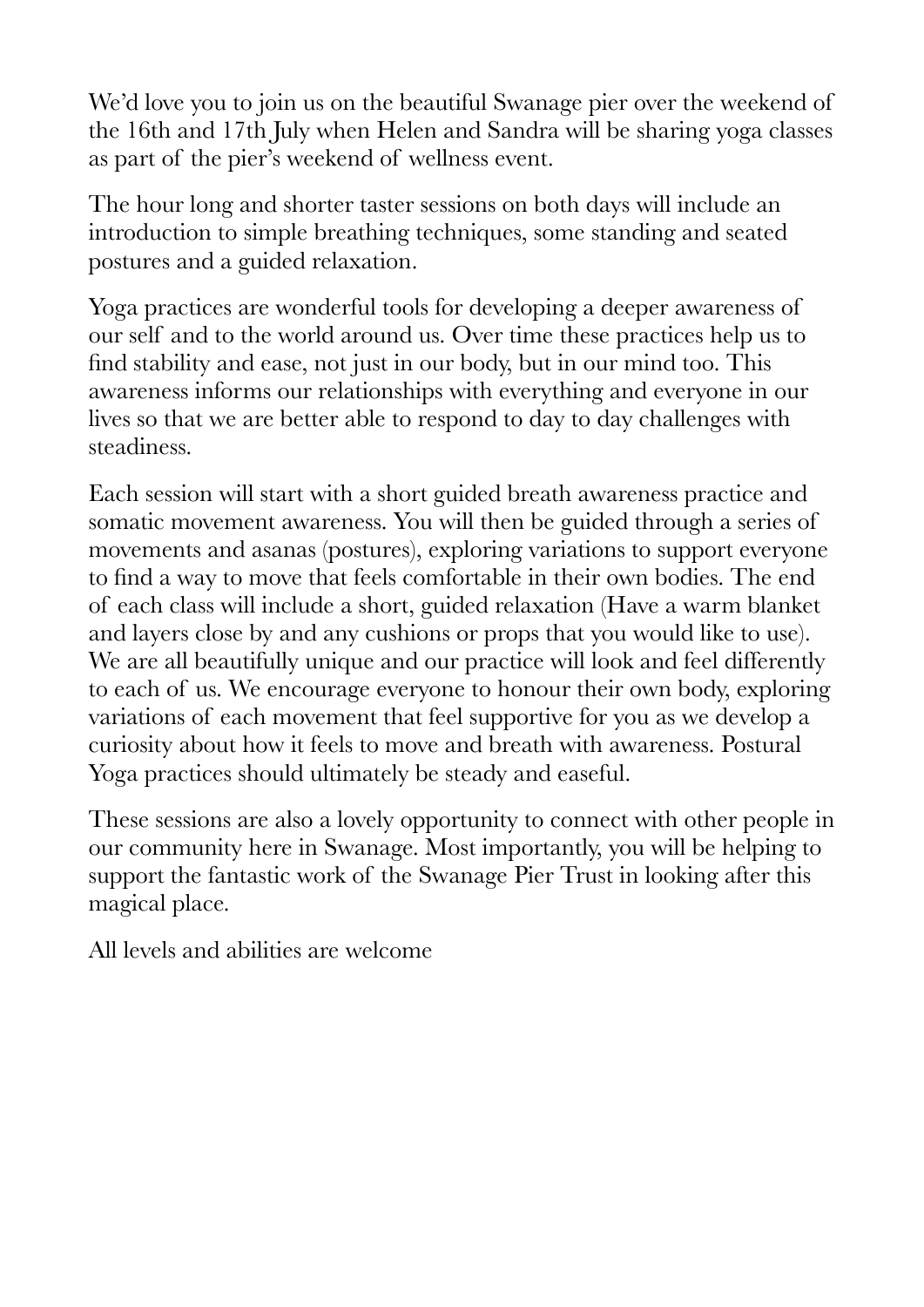We'd love you to join us on the beautiful Swanage pier over the weekend of the 16th and 17th July when Helen and Sandra will be sharing yoga classes as part of the pier's weekend of wellness event.

The hour long and shorter taster sessions on both days will include an introduction to simple breathing techniques, some standing and seated postures and a guided relaxation.

Yoga practices are wonderful tools for developing a deeper awareness of our self and to the world around us. Over time these practices help us to find stability and ease, not just in our body, but in our mind too. This awareness informs our relationships with everything and everyone in our lives so that we are better able to respond to day to day challenges with steadiness.

Each session will start with a short guided breath awareness practice and somatic movement awareness. You will then be guided through a series of movements and asanas (postures), exploring variations to support everyone to find a way to move that feels comfortable in their own bodies. The end of each class will include a short, guided relaxation (Have a warm blanket and layers close by and any cushions or props that you would like to use). We are all beautifully unique and our practice will look and feel differently to each of us. We encourage everyone to honour their own body, exploring variations of each movement that feel supportive for you as we develop a curiosity about how it feels to move and breath with awareness. Postural Yoga practices should ultimately be steady and easeful.

These sessions are also a lovely opportunity to connect with other people in our community here in Swanage. Most importantly, you will be helping to support the fantastic work of the Swanage Pier Trust in looking after this magical place.

All levels and abilities are welcome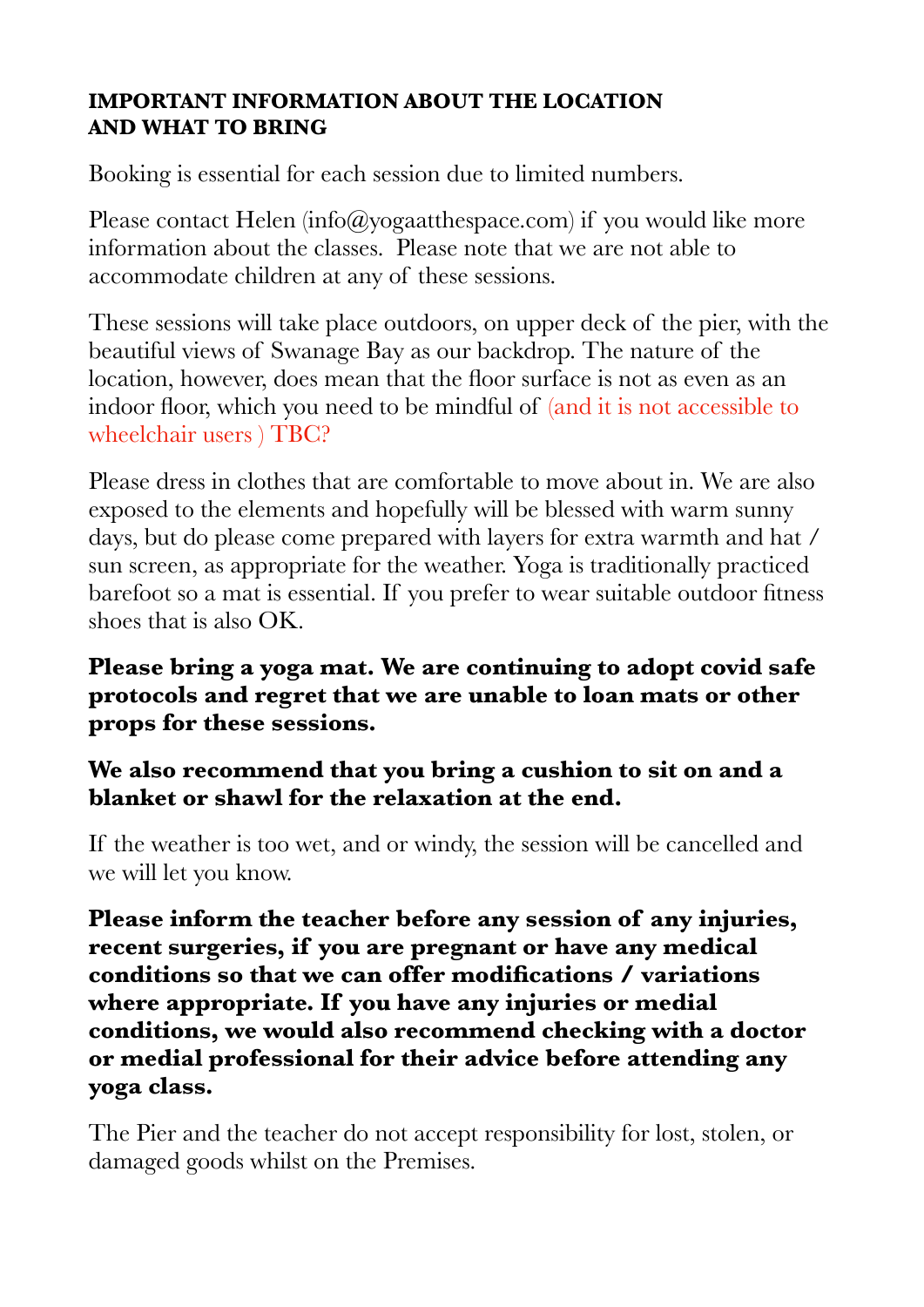## **IMPORTANT INFORMATION ABOUT THE LOCATION AND WHAT TO BRING**

Booking is essential for each session due to limited numbers.

Please contact Helen  $(info@yogaat the space.com)$  if you would like more information about the classes. Please note that we are not able to accommodate children at any of these sessions.

These sessions will take place outdoors, on upper deck of the pier, with the beautiful views of Swanage Bay as our backdrop. The nature of the location, however, does mean that the floor surface is not as even as an indoor floor, which you need to be mindful of (and it is not accessible to wheelchair users ) TBC?

Please dress in clothes that are comfortable to move about in. We are also exposed to the elements and hopefully will be blessed with warm sunny days, but do please come prepared with layers for extra warmth and hat / sun screen, as appropriate for the weather. Yoga is traditionally practiced barefoot so a mat is essential. If you prefer to wear suitable outdoor fitness shoes that is also OK.

**Please bring a yoga mat. We are continuing to adopt covid safe protocols and regret that we are unable to loan mats or other props for these sessions.** 

## **We also recommend that you bring a cushion to sit on and a blanket or shawl for the relaxation at the end.**

If the weather is too wet, and or windy, the session will be cancelled and we will let you know.

**Please inform the teacher before any session of any injuries, recent surgeries, if you are pregnant or have any medical conditions so that we can offer modifications / variations where appropriate. If you have any injuries or medial conditions, we would also recommend checking with a doctor or medial professional for their advice before attending any yoga class.**

The Pier and the teacher do not accept responsibility for lost, stolen, or damaged goods whilst on the Premises.